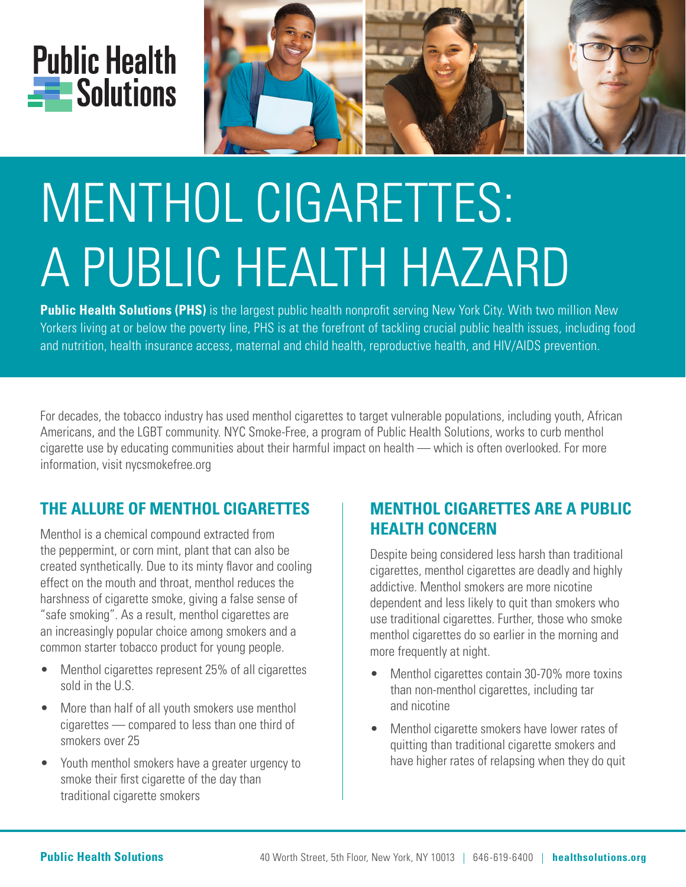



# MENTHOL CIGARETTES: A PUBLIC HEALTH HAZARD

**Public Health Solutions (PHS)** is the largest public health nonprofit serving New York City. With two million New Yorkers living at or below the poverty line, PHS is at the forefront of tackling crucial public health issues, including food and nutrition, health insurance access, maternal and child health, reproductive health, and HIV/AIDS prevention.

For decades, the tobacco industry has used menthol cigarettes to target vulnerable populations, including youth, African Americans, and the LGBT community. NYC Smoke-Free, a program of Public Health Solutions, works to curb menthol cigarette use by educating communities about their harmful impact on health — which is often overlooked. For more information, visit nycsmokefree.org

## **THE ALLURE OF MENTHOL CIGARETTES**

Menthol is a chemical compound extracted from the peppermint, or corn mint, plant that can also be created synthetically. Due to its minty flavor and cooling effect on the mouth and throat, menthol reduces the harshness of cigarette smoke, giving a false sense of "safe smoking". As a result, menthol cigarettes are an increasingly popular choice among smokers and a common starter tobacco product for young people.

- Menthol cigarettes represent 25% of all cigarettes sold in the U.S.
- More than half of all youth smokers use menthol cigarettes — compared to less than one third of smokers over 25
- Youth menthol smokers have a greater urgency to smoke their first cigarette of the day than traditional cigarette smokers

### **MENTHOL CIGARETTES ARE A PUBLIC HEALTH CONCERN**

Despite being considered less harsh than traditional cigarettes, menthol cigarettes are deadly and highly addictive. Menthol smokers are more nicotine dependent and less likely to quit than smokers who use traditional cigarettes. Further, those who smoke menthol cigarettes do so earlier in the morning and more frequently at night.

- Menthol cigarettes contain 30-70% more toxins than non-menthol cigarettes, including tar and nicotine
- Menthol cigarette smokers have lower rates of quitting than traditional cigarette smokers and have higher rates of relapsing when they do quit